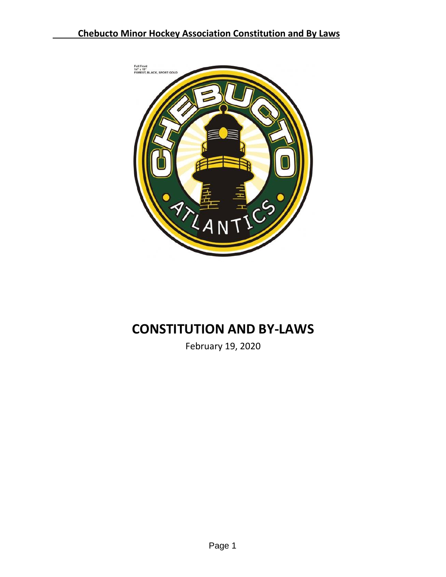

# **CONSTITUTION AND BY-LAWS**

February 19, 2020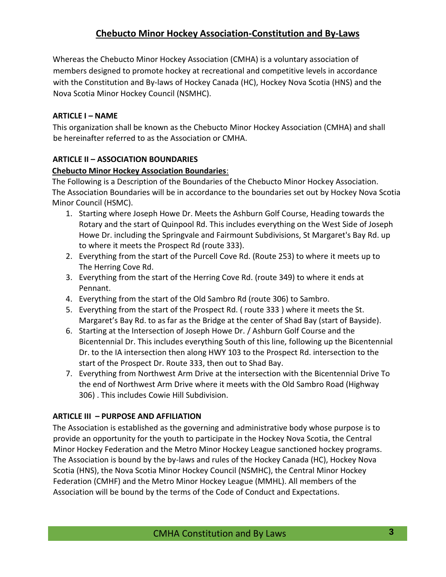Whereas the Chebucto Minor Hockey Association (CMHA) is a voluntary association of members designed to promote hockey at recreational and competitive levels in accordance with the Constitution and By-laws of Hockey Canada (HC), Hockey Nova Scotia (HNS) and the Nova Scotia Minor Hockey Council (NSMHC).

#### <span id="page-2-0"></span>**ARTICLE I – NAME**

This organization shall be known as the Chebucto Minor Hockey Association (CMHA) and shall be hereinafter referred to as the Association or CMHA.

#### <span id="page-2-1"></span>**ARTICLE II – ASSOCIATION BOUNDARIES**

#### **Chebucto Minor Hockey Association Boundaries**:

The Following is a Description of the Boundaries of the Chebucto Minor Hockey Association. The Association Boundaries will be in accordance to the boundaries set out by Hockey Nova Scotia Minor Council (HSMC).

- 1. Starting where Joseph Howe Dr. Meets the Ashburn Golf Course, Heading towards the Rotary and the start of Quinpool Rd. This includes everything on the West Side of Joseph Howe Dr. including the Springvale and Fairmount Subdivisions, St Margaret's Bay Rd. up to where it meets the Prospect Rd (route 333).
- 2. Everything from the start of the Purcell Cove Rd. (Route 253) to where it meets up to The Herring Cove Rd.
- 3. Everything from the start of the Herring Cove Rd. (route 349) to where it ends at Pennant.
- 4. Everything from the start of the Old Sambro Rd (route 306) to Sambro.
- 5. Everything from the start of the Prospect Rd. ( route 333 ) where it meets the St. Margaret's Bay Rd. to as far as the Bridge at the center of Shad Bay (start of Bayside).
- 6. Starting at the Intersection of Joseph Howe Dr. / Ashburn Golf Course and the Bicentennial Dr. This includes everything South of this line, following up the Bicentennial Dr. to the IA intersection then along HWY 103 to the Prospect Rd. intersection to the start of the Prospect Dr. Route 333, then out to Shad Bay.
- 7. Everything from Northwest Arm Drive at the intersection with the Bicentennial Drive To the end of Northwest Arm Drive where it meets with the Old Sambro Road (Highway 306) . This includes Cowie Hill Subdivision.

#### <span id="page-2-2"></span>**ARTICLE III – PURPOSE AND AFFILIATION**

The Association is established as the governing and administrative body whose purpose is to provide an opportunity for the youth to participate in the Hockey Nova Scotia, the Central Minor Hockey Federation and the Metro Minor Hockey League sanctioned hockey programs. The Association is bound by the by-laws and rules of the Hockey Canada (HC), Hockey Nova Scotia (HNS), the Nova Scotia Minor Hockey Council (NSMHC), the Central Minor Hockey Federation (CMHF) and the Metro Minor Hockey League (MMHL). All members of the Association will be bound by the terms of the Code of Conduct and Expectations.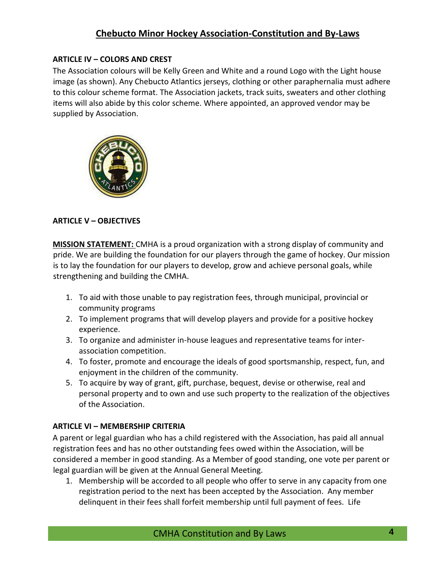### <span id="page-3-0"></span>**ARTICLE IV – COLORS AND CREST**

The Association colours will be Kelly Green and White and a round Logo with the Light house image (as shown). Any Chebucto Atlantics jerseys, clothing or other paraphernalia must adhere to this colour scheme format. The Association jackets, track suits, sweaters and other clothing items will also abide by this color scheme. Where appointed, an approved vendor may be supplied by Association.



### <span id="page-3-1"></span>**ARTICLE V – OBJECTIVES**

**MISSION STATEMENT:** CMHA is a proud organization with a strong display of community and pride. We are building the foundation for our players through the game of hockey. Our mission is to lay the foundation for our players to develop, grow and achieve personal goals, while strengthening and building the CMHA.

- 1. To aid with those unable to pay registration fees, through municipal, provincial or community programs
- 2. To implement programs that will develop players and provide for a positive hockey experience.
- 3. To organize and administer in-house leagues and representative teams for interassociation competition.
- 4. To foster, promote and encourage the ideals of good sportsmanship, respect, fun, and enjoyment in the children of the community.
- 5. To acquire by way of grant, gift, purchase, bequest, devise or otherwise, real and personal property and to own and use such property to the realization of the objectives of the Association.

### <span id="page-3-2"></span>**ARTICLE VI – MEMBERSHIP CRITERIA**

A parent or legal guardian who has a child registered with the Association, has paid all annual registration fees and has no other outstanding fees owed within the Association, will be considered a member in good standing. As a Member of good standing, one vote per parent or legal guardian will be given at the Annual General Meeting.

1. Membership will be accorded to all people who offer to serve in any capacity from one registration period to the next has been accepted by the Association. Any member delinquent in their fees shall forfeit membership until full payment of fees. Life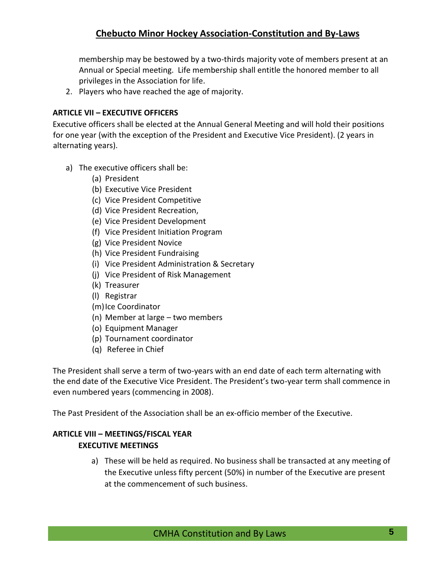membership may be bestowed by a two-thirds majority vote of members present at an Annual or Special meeting. Life membership shall entitle the honored member to all privileges in the Association for life.

2. Players who have reached the age of majority.

#### <span id="page-4-0"></span>**ARTICLE VII – EXECUTIVE OFFICERS**

Executive officers shall be elected at the Annual General Meeting and will hold their positions for one year (with the exception of the President and Executive Vice President). (2 years in alternating years).

- a) The executive officers shall be:
	- (a) President
	- (b) Executive Vice President
	- (c) Vice President Competitive
	- (d) Vice President Recreation,
	- (e) Vice President Development
	- (f) Vice President Initiation Program
	- (g) Vice President Novice
	- (h) Vice President Fundraising
	- (i) Vice President Administration & Secretary
	- (j) Vice President of Risk Management
	- (k) Treasurer
	- (l) Registrar
	- (m)Ice Coordinator
	- (n) Member at large two members
	- (o) Equipment Manager
	- (p) Tournament coordinator
	- (q) Referee in Chief

The President shall serve a term of two-years with an end date of each term alternating with the end date of the Executive Vice President. The President's two-year term shall commence in even numbered years (commencing in 2008).

The Past President of the Association shall be an ex-officio member of the Executive.

## <span id="page-4-1"></span>**ARTICLE VIII – MEETINGS/FISCAL YEAR EXECUTIVE MEETINGS**

a) These will be held as required. No business shall be transacted at any meeting of the Executive unless fifty percent (50%) in number of the Executive are present at the commencement of such business.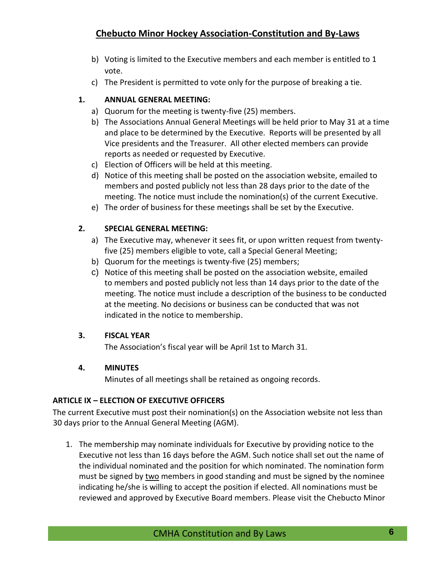- b) Voting is limited to the Executive members and each member is entitled to 1 vote.
- c) The President is permitted to vote only for the purpose of breaking a tie.

## **1. ANNUAL GENERAL MEETING:**

- a) Quorum for the meeting is twenty-five (25) members.
- b) The Associations Annual General Meetings will be held prior to May 31 at a time and place to be determined by the Executive. Reports will be presented by all Vice presidents and the Treasurer. All other elected members can provide reports as needed or requested by Executive.
- c) Election of Officers will be held at this meeting.
- d) Notice of this meeting shall be posted on the association website, emailed to members and posted publicly not less than 28 days prior to the date of the meeting. The notice must include the nomination(s) of the current Executive.
- e) The order of business for these meetings shall be set by the Executive.

### **2. SPECIAL GENERAL MEETING:**

- a) The Executive may, whenever it sees fit, or upon written request from twentyfive (25) members eligible to vote, call a Special General Meeting;
- b) Quorum for the meetings is twenty-five (25) members;
- c) Notice of this meeting shall be posted on the association website, emailed to members and posted publicly not less than 14 days prior to the date of the meeting. The notice must include a description of the business to be conducted at the meeting. No decisions or business can be conducted that was not indicated in the notice to membership.

### **3. FISCAL YEAR**

The Association's fiscal year will be April 1st to March 31.

### **4. MINUTES**

Minutes of all meetings shall be retained as ongoing records.

### <span id="page-5-0"></span>**ARTICLE IX – ELECTION OF EXECUTIVE OFFICERS**

The current Executive must post their nomination(s) on the Association website not less than 30 days prior to the Annual General Meeting (AGM).

1. The membership may nominate individuals for Executive by providing notice to the Executive not less than 16 days before the AGM. Such notice shall set out the name of the individual nominated and the position for which nominated. The nomination form must be signed by two members in good standing and must be signed by the nominee indicating he/she is willing to accept the position if elected. All nominations must be reviewed and approved by Executive Board members. Please visit the Chebucto Minor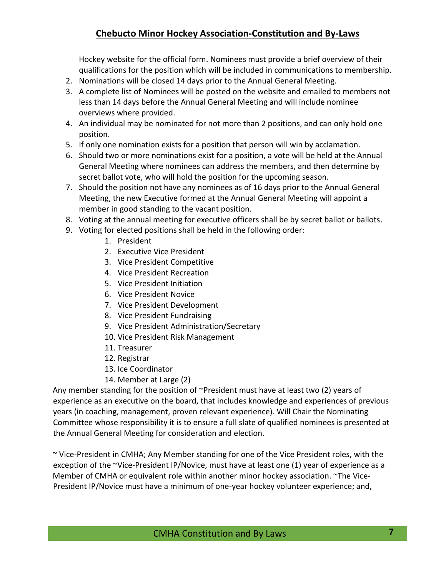Hockey website for the official form. Nominees must provide a brief overview of their qualifications for the position which will be included in communications to membership.

- 2. Nominations will be closed 14 days prior to the Annual General Meeting.
- 3. A complete list of Nominees will be posted on the website and emailed to members not less than 14 days before the Annual General Meeting and will include nominee overviews where provided.
- 4. An individual may be nominated for not more than 2 positions, and can only hold one position.
- 5. If only one nomination exists for a position that person will win by acclamation.
- 6. Should two or more nominations exist for a position, a vote will be held at the Annual General Meeting where nominees can address the members, and then determine by secret ballot vote, who will hold the position for the upcoming season.
- 7. Should the position not have any nominees as of 16 days prior to the Annual General Meeting, the new Executive formed at the Annual General Meeting will appoint a member in good standing to the vacant position.
- 8. Voting at the annual meeting for executive officers shall be by secret ballot or ballots.
- 9. Voting for elected positions shall be held in the following order:
	- 1. President
	- 2. Executive Vice President
	- 3. Vice President Competitive
	- 4. Vice President Recreation
	- 5. Vice President Initiation
	- 6. Vice President Novice
	- 7. Vice President Development
	- 8. Vice President Fundraising
	- 9. Vice President Administration/Secretary
	- 10. Vice President Risk Management
	- 11. Treasurer
	- 12. Registrar
	- 13. Ice Coordinator
	- 14. Member at Large (2)

Any member standing for the position of ~President must have at least two (2) years of experience as an executive on the board, that includes knowledge and experiences of previous years (in coaching, management, proven relevant experience). Will Chair the Nominating Committee whose responsibility it is to ensure a full slate of qualified nominees is presented at the Annual General Meeting for consideration and election.

~ Vice-President in CMHA; Any Member standing for one of the Vice President roles, with the exception of the ~Vice-President IP/Novice, must have at least one (1) year of experience as a Member of CMHA or equivalent role within another minor hockey association. ~The Vice-President IP/Novice must have a minimum of one-year hockey volunteer experience; and,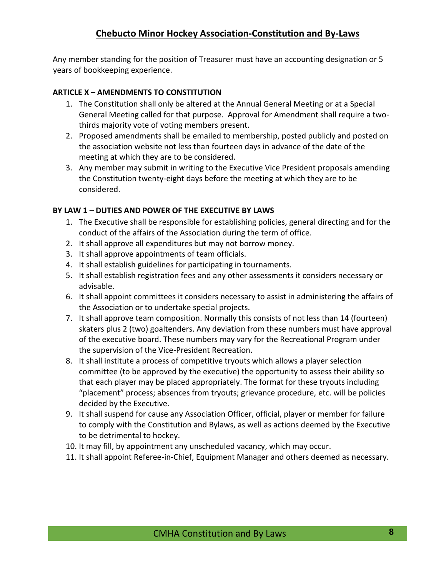Any member standing for the position of Treasurer must have an accounting designation or 5 years of bookkeeping experience.

#### <span id="page-7-0"></span>**ARTICLE X – AMENDMENTS TO CONSTITUTION**

- 1. The Constitution shall only be altered at the Annual General Meeting or at a Special General Meeting called for that purpose. Approval for Amendment shall require a twothirds majority vote of voting members present.
- 2. Proposed amendments shall be emailed to membership, posted publicly and posted on the association website not less than fourteen days in advance of the date of the meeting at which they are to be considered.
- 3. Any member may submit in writing to the Executive Vice President proposals amending the Constitution twenty-eight days before the meeting at which they are to be considered.

#### <span id="page-7-1"></span>**BY LAW 1 – DUTIES AND POWER OF THE EXECUTIVE BY LAWS**

- 1. The Executive shall be responsible for establishing policies, general directing and for the conduct of the affairs of the Association during the term of office.
- 2. It shall approve all expenditures but may not borrow money.
- 3. It shall approve appointments of team officials.
- 4. It shall establish guidelines for participating in tournaments.
- 5. It shall establish registration fees and any other assessments it considers necessary or advisable.
- 6. It shall appoint committees it considers necessary to assist in administering the affairs of the Association or to undertake special projects.
- 7. It shall approve team composition. Normally this consists of not less than 14 (fourteen) skaters plus 2 (two) goaltenders. Any deviation from these numbers must have approval of the executive board. These numbers may vary for the Recreational Program under the supervision of the Vice-President Recreation.
- 8. It shall institute a process of competitive tryouts which allows a player selection committee (to be approved by the executive) the opportunity to assess their ability so that each player may be placed appropriately. The format for these tryouts including "placement" process; absences from tryouts; grievance procedure, etc. will be policies decided by the Executive.
- 9. It shall suspend for cause any Association Officer, official, player or member for failure to comply with the Constitution and Bylaws, as well as actions deemed by the Executive to be detrimental to hockey.
- 10. It may fill, by appointment any unscheduled vacancy, which may occur.
- 11. It shall appoint Referee-in-Chief, Equipment Manager and others deemed as necessary.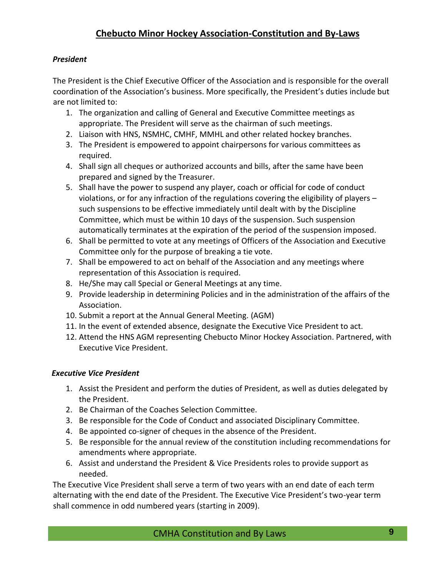## *President*

The President is the Chief Executive Officer of the Association and is responsible for the overall coordination of the Association's business. More specifically, the President's duties include but are not limited to:

- 1. The organization and calling of General and Executive Committee meetings as appropriate. The President will serve as the chairman of such meetings.
- 2. Liaison with HNS, NSMHC, CMHF, MMHL and other related hockey branches.
- 3. The President is empowered to appoint chairpersons for various committees as required.
- 4. Shall sign all cheques or authorized accounts and bills, after the same have been prepared and signed by the Treasurer.
- 5. Shall have the power to suspend any player, coach or official for code of conduct violations, or for any infraction of the regulations covering the eligibility of players – such suspensions to be effective immediately until dealt with by the Discipline Committee, which must be within 10 days of the suspension. Such suspension automatically terminates at the expiration of the period of the suspension imposed.
- 6. Shall be permitted to vote at any meetings of Officers of the Association and Executive Committee only for the purpose of breaking a tie vote.
- 7. Shall be empowered to act on behalf of the Association and any meetings where representation of this Association is required.
- 8. He/She may call Special or General Meetings at any time.
- 9. Provide leadership in determining Policies and in the administration of the affairs of the Association.
- 10. Submit a report at the Annual General Meeting. (AGM)
- 11. In the event of extended absence, designate the Executive Vice President to act.
- 12. Attend the HNS AGM representing Chebucto Minor Hockey Association. Partnered, with Executive Vice President.

## <span id="page-8-0"></span>*Executive Vice President*

- 1. Assist the President and perform the duties of President, as well as duties delegated by the President.
- 2. Be Chairman of the Coaches Selection Committee.
- 3. Be responsible for the Code of Conduct and associated Disciplinary Committee.
- 4. Be appointed co-signer of cheques in the absence of the President.
- 5. Be responsible for the annual review of the constitution including recommendations for amendments where appropriate.
- 6. Assist and understand the President & Vice Presidents roles to provide support as needed.

The Executive Vice President shall serve a term of two years with an end date of each term alternating with the end date of the President. The Executive Vice President's two-year term shall commence in odd numbered years (starting in 2009).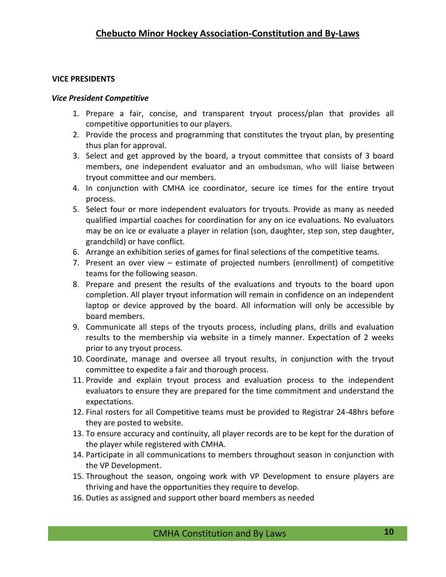#### **VICE PRESIDENTS**

#### <span id="page-9-0"></span>*Vice President Competitive*

- 1. Prepare a fair, concise, and transparent tryout process/plan that provides all competitive opportunities to our players.
- 2. Provide the process and programming that constitutes the tryout plan, by presenting thus plan for approval.
- 3. Select and get approved by the board, a tryout committee that consists of 3 board members, one independent evaluator and an ombudsman, who will liaise between tryout committee and our members.
- 4. In conjunction with CMHA ice coordinator, secure ice times for the entire tryout process.
- 5. Select four or more independent evaluators for tryouts. Provide as many as needed qualified impartial coaches for coordination for any on ice evaluations. No evaluators may be on ice or evaluate a player in relation (son, daughter, step son, step daughter, grandchild) or have conflict.
- 6. Arrange an exhibition series of games for final selections of the competitive teams.
- 7. Present an over view estimate of projected numbers (enrollment) of competitive teams for the following season.
- 8. Prepare and present the results of the evaluations and tryouts to the board upon completion. All player tryout information will remain in confidence on an independent laptop or device approved by the board. All information will only be accessible by board members.
- 9. Communicate all steps of the tryouts process, including plans, drills and evaluation results to the membership via website in a timely manner. Expectation of 2 weeks prior to any tryout process.
- 10. Coordinate, manage and oversee all tryout results, in conjunction with the tryout committee to expedite a fair and thorough process.
- 11. Provide and explain tryout process and evaluation process to the independent evaluators to ensure they are prepared for the time commitment and understand the expectations.
- 12. Final rosters for all Competitive teams must be provided to Registrar 24-48hrs before they are posted to website.
- 13. To ensure accuracy and continuity, all player records are to be kept for the duration of the player while registered with CMHA.
- 14. Participate in all communications to members throughout season in conjunction with the VP Development.
- 15. Throughout the season, ongoing work with VP Development to ensure players are thriving and have the opportunities they require to develop.
- 16. Duties as assigned and support other board members as needed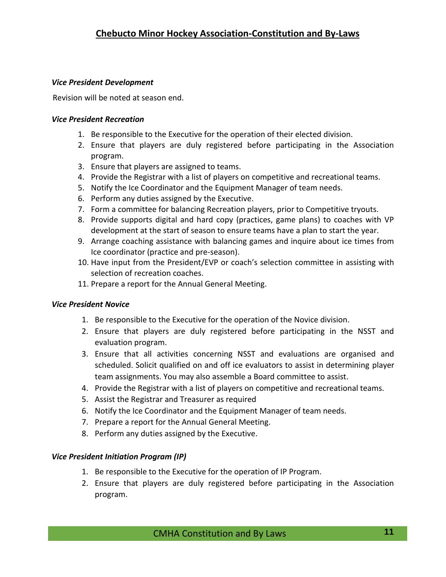### <span id="page-10-0"></span>*Vice President Development*

Revision will be noted at season end.

### <span id="page-10-1"></span>*Vice President Recreation*

- 1. Be responsible to the Executive for the operation of their elected division.
- 2. Ensure that players are duly registered before participating in the Association program.
- 3. Ensure that players are assigned to teams.
- 4. Provide the Registrar with a list of players on competitive and recreational teams.
- 5. Notify the Ice Coordinator and the Equipment Manager of team needs.
- 6. Perform any duties assigned by the Executive.
- 7. Form a committee for balancing Recreation players, prior to Competitive tryouts.
- 8. Provide supports digital and hard copy (practices, game plans) to coaches with VP development at the start of season to ensure teams have a plan to start the year.
- 9. Arrange coaching assistance with balancing games and inquire about ice times from Ice coordinator (practice and pre-season).
- 10. Have input from the President/EVP or coach's selection committee in assisting with selection of recreation coaches.
- 11. Prepare a report for the Annual General Meeting.

## <span id="page-10-2"></span>*Vice President Novice*

- 1. Be responsible to the Executive for the operation of the Novice division.
- 2. Ensure that players are duly registered before participating in the NSST and evaluation program.
- 3. Ensure that all activities concerning NSST and evaluations are organised and scheduled. Solicit qualified on and off ice evaluators to assist in determining player team assignments. You may also assemble a Board committee to assist.
- 4. Provide the Registrar with a list of players on competitive and recreational teams.
- 5. Assist the Registrar and Treasurer as required
- 6. Notify the Ice Coordinator and the Equipment Manager of team needs.
- 7. Prepare a report for the Annual General Meeting.
- 8. Perform any duties assigned by the Executive.

## <span id="page-10-3"></span>*Vice President Initiation Program (IP)*

- 1. Be responsible to the Executive for the operation of IP Program.
- 2. Ensure that players are duly registered before participating in the Association program.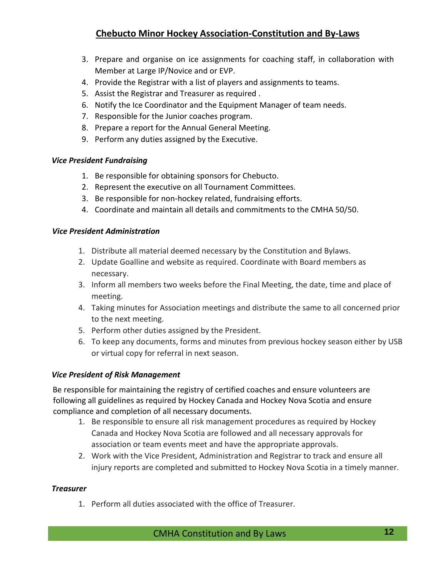- 3. Prepare and organise on ice assignments for coaching staff, in collaboration with Member at Large IP/Novice and or EVP.
- 4. Provide the Registrar with a list of players and assignments to teams.
- 5. Assist the Registrar and Treasurer as required .
- 6. Notify the Ice Coordinator and the Equipment Manager of team needs.
- 7. Responsible for the Junior coaches program.
- 8. Prepare a report for the Annual General Meeting.
- 9. Perform any duties assigned by the Executive.

#### <span id="page-11-0"></span>*Vice President Fundraising*

- 1. Be responsible for obtaining sponsors for Chebucto.
- 2. Represent the executive on all Tournament Committees.
- 3. Be responsible for non-hockey related, fundraising efforts.
- 4. Coordinate and maintain all details and commitments to the CMHA 50/50.

#### *Vice President Administration*

- 1. Distribute all material deemed necessary by the Constitution and Bylaws.
- 2. Update Goalline and website as required. Coordinate with Board members as necessary.
- 3. Inform all members two weeks before the Final Meeting, the date, time and place of meeting.
- 4. Taking minutes for Association meetings and distribute the same to all concerned prior to the next meeting.
- 5. Perform other duties assigned by the President.
- 6. To keep any documents, forms and minutes from previous hockey season either by USB or virtual copy for referral in next season.

### <span id="page-11-1"></span>*Vice President of Risk Management*

Be responsible for maintaining the registry of certified coaches and ensure volunteers are following all guidelines as required by Hockey Canada and Hockey Nova Scotia and ensure compliance and completion of all necessary documents.

- 1. Be responsible to ensure all risk management procedures as required by Hockey Canada and Hockey Nova Scotia are followed and all necessary approvals for association or team events meet and have the appropriate approvals.
- 2. Work with the Vice President, Administration and Registrar to track and ensure all injury reports are completed and submitted to Hockey Nova Scotia in a timely manner.

#### <span id="page-11-2"></span>*Treasurer*

1. Perform all duties associated with the office of Treasurer.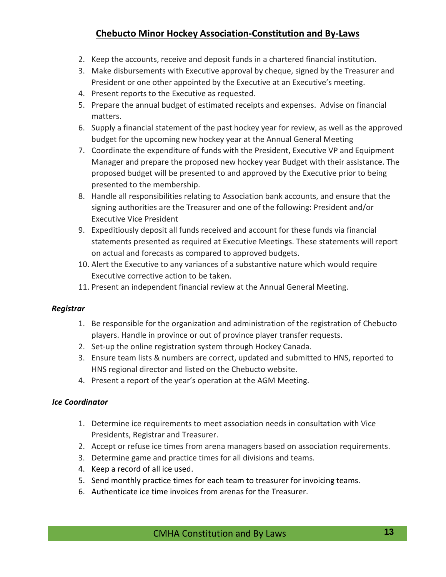- 2. Keep the accounts, receive and deposit funds in a chartered financial institution.
- 3. Make disbursements with Executive approval by cheque, signed by the Treasurer and President or one other appointed by the Executive at an Executive's meeting.
- 4. Present reports to the Executive as requested.
- 5. Prepare the annual budget of estimated receipts and expenses. Advise on financial matters.
- 6. Supply a financial statement of the past hockey year for review, as well as the approved budget for the upcoming new hockey year at the Annual General Meeting
- 7. Coordinate the expenditure of funds with the President, Executive VP and Equipment Manager and prepare the proposed new hockey year Budget with their assistance. The proposed budget will be presented to and approved by the Executive prior to being presented to the membership.
- 8. Handle all responsibilities relating to Association bank accounts, and ensure that the signing authorities are the Treasurer and one of the following: President and/or Executive Vice President
- 9. Expeditiously deposit all funds received and account for these funds via financial statements presented as required at Executive Meetings. These statements will report on actual and forecasts as compared to approved budgets.
- 10. Alert the Executive to any variances of a substantive nature which would require Executive corrective action to be taken.
- 11. Present an independent financial review at the Annual General Meeting.

### <span id="page-12-0"></span>*Registrar*

- 1. Be responsible for the organization and administration of the registration of Chebucto players. Handle in province or out of province player transfer requests.
- 2. Set-up the online registration system through Hockey Canada.
- 3. Ensure team lists & numbers are correct, updated and submitted to HNS, reported to HNS regional director and listed on the Chebucto website.
- 4. Present a report of the year's operation at the AGM Meeting.

### *Ice Coordinator*

- 1. Determine ice requirements to meet association needs in consultation with Vice Presidents, Registrar and Treasurer.
- 2. Accept or refuse ice times from arena managers based on association requirements.
- 3. Determine game and practice times for all divisions and teams.
- 4. Keep a record of all ice used.
- 5. Send monthly practice times for each team to treasurer for invoicing teams.
- 6. Authenticate ice time invoices from arenas for the Treasurer.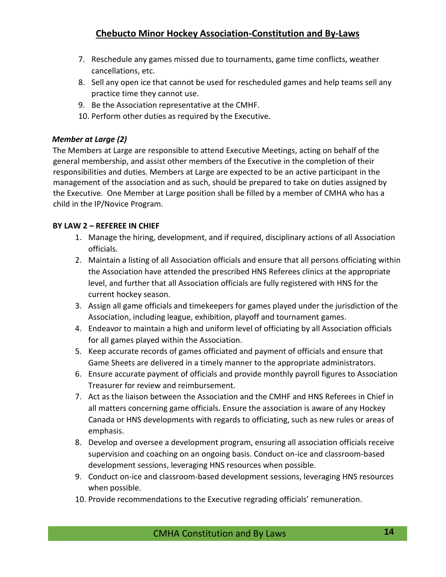- 7. Reschedule any games missed due to tournaments, game time conflicts, weather cancellations, etc.
- 8. Sell any open ice that cannot be used for rescheduled games and help teams sell any practice time they cannot use.
- 9. Be the Association representative at the CMHF.
- 10. Perform other duties as required by the Executive.

### *Member at Large (2)*

The Members at Large are responsible to attend Executive Meetings, acting on behalf of the general membership, and assist other members of the Executive in the completion of their responsibilities and duties. Members at Large are expected to be an active participant in the management of the association and as such, should be prepared to take on duties assigned by the Executive. One Member at Large position shall be filled by a member of CMHA who has a child in the IP/Novice Program.

### <span id="page-13-0"></span>**BY LAW 2 – REFEREE IN CHIEF**

- 1. Manage the hiring, development, and if required, disciplinary actions of all Association officials.
- 2. Maintain a listing of all Association officials and ensure that all persons officiating within the Association have attended the prescribed HNS Referees clinics at the appropriate level, and further that all Association officials are fully registered with HNS for the current hockey season.
- 3. Assign all game officials and timekeepers for games played under the jurisdiction of the Association, including league, exhibition, playoff and tournament games.
- 4. Endeavor to maintain a high and uniform level of officiating by all Association officials for all games played within the Association.
- 5. Keep accurate records of games officiated and payment of officials and ensure that Game Sheets are delivered in a timely manner to the appropriate administrators.
- 6. Ensure accurate payment of officials and provide monthly payroll figures to Association Treasurer for review and reimbursement.
- 7. Act as the liaison between the Association and the CMHF and HNS Referees in Chief in all matters concerning game officials. Ensure the association is aware of any Hockey Canada or HNS developments with regards to officiating, such as new rules or areas of emphasis.
- 8. Develop and oversee a development program, ensuring all association officials receive supervision and coaching on an ongoing basis. Conduct on-ice and classroom-based development sessions, leveraging HNS resources when possible.
- 9. Conduct on-ice and classroom-based development sessions, leveraging HNS resources when possible.
- 10. Provide recommendations to the Executive regrading officials' remuneration.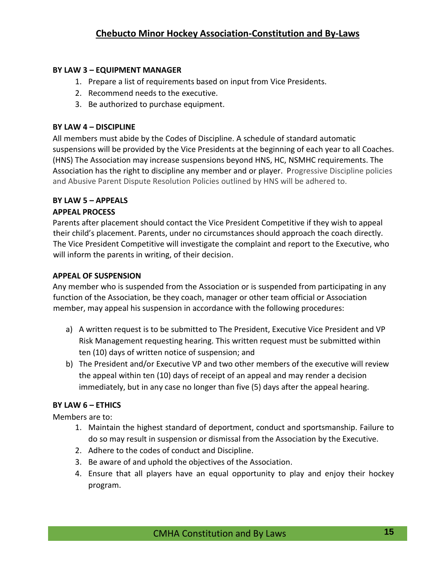### <span id="page-14-0"></span>**BY LAW 3 – EQUIPMENT MANAGER**

- 1. Prepare a list of requirements based on input from Vice Presidents.
- 2. Recommend needs to the executive.
- 3. Be authorized to purchase equipment.

### <span id="page-14-1"></span>**BY LAW 4 – DISCIPLINE**

All members must abide by the Codes of Discipline. A schedule of standard automatic suspensions will be provided by the Vice Presidents at the beginning of each year to all Coaches. (HNS) The Association may increase suspensions beyond HNS, HC, NSMHC requirements. The Association has the right to discipline any member and or player. Progressive Discipline policies and Abusive Parent Dispute Resolution Policies outlined by HNS will be adhered to.

### <span id="page-14-2"></span>**BY LAW 5 – APPEALS**

### **APPEAL PROCESS**

Parents after placement should contact the Vice President Competitive if they wish to appeal their child's placement. Parents, under no circumstances should approach the coach directly. The Vice President Competitive will investigate the complaint and report to the Executive, who will inform the parents in writing, of their decision.

### **APPEAL OF SUSPENSION**

Any member who is suspended from the Association or is suspended from participating in any function of the Association, be they coach, manager or other team official or Association member, may appeal his suspension in accordance with the following procedures:

- a) A written request is to be submitted to The President, Executive Vice President and VP Risk Management requesting hearing. This written request must be submitted within ten (10) days of written notice of suspension; and
- b) The President and/or Executive VP and two other members of the executive will review the appeal within ten (10) days of receipt of an appeal and may render a decision immediately, but in any case no longer than five (5) days after the appeal hearing.

## <span id="page-14-3"></span>**BY LAW 6 – ETHICS**

Members are to:

- 1. Maintain the highest standard of deportment, conduct and sportsmanship. Failure to do so may result in suspension or dismissal from the Association by the Executive.
- 2. Adhere to the codes of conduct and Discipline.
- 3. Be aware of and uphold the objectives of the Association.
- 4. Ensure that all players have an equal opportunity to play and enjoy their hockey program.